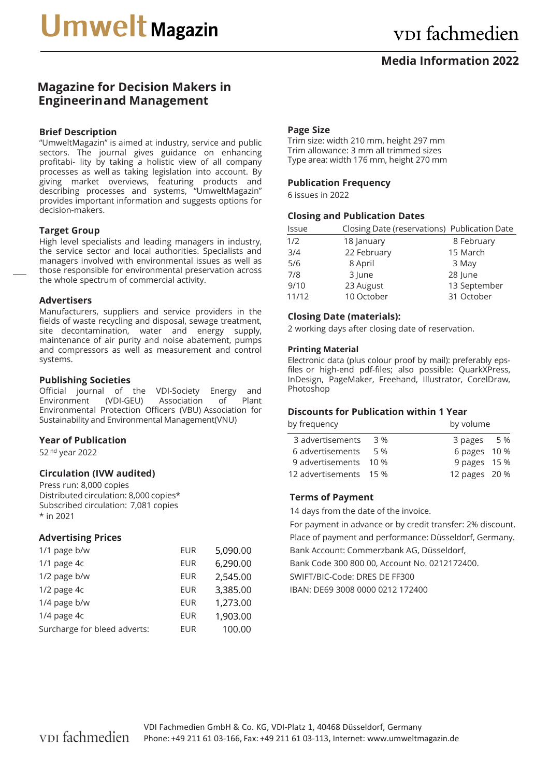# **Media Information 2022**

# **Magazine for Decision Makers in Engineerin and Management**

## **Brief Description**

"UmweltMagazin" is aimed at industry, service and public sectors. The journal gives guidance on enhancing profitabi- lity by taking a holistic view of all company processes as well as taking legislation into account. By giving market overviews, featuring products and describing processes and systems, "UmweltMagazin" provides important information and suggests options for decision-makers.

#### **Target Group**

High level specialists and leading managers in industry, the service sector and local authorities. Specialists and managers involved with environmental issues as well as those responsible for environmental preservation across the whole spectrum of commercial activity.

#### **Advertisers**

Manufacturers, suppliers and service providers in the fields of waste recycling and disposal, sewage treatment, site decontamination, water and energy supply, maintenance of air purity and noise abatement, pumps and compressors as well as measurement and control systems.

## **Publishing Societies**

Official journal of the VDI-Society Energy and<br>Environment (VDI-GEU) Association of Plant (VDI-GEU) Association of Environmental Protection Officers (VBU) Association for Sustainability and Environmental Management (VNU)

# **Year of Publication**

52 nd year 2022

# **Circulation (IVW audited)**

Press run: 8,000 copies Distributed circulation: 8,000 copies\* Subscribed circulation: 7,081 copies \* in 2021

# **Advertising Prices**

| <b>EUR</b> | 5,090.00 |
|------------|----------|
| <b>EUR</b> | 6,290.00 |
| <b>EUR</b> | 2,545.00 |
| EUR        | 3,385.00 |
| <b>EUR</b> | 1,273.00 |
| <b>EUR</b> | 1,903.00 |
| <b>EUR</b> | 100.00   |
|            |          |

#### **Page Size**

Trim size: width 210 mm, height 297 mm Trim allowance: 3 mm all trimmed sizes Type area: width 176 mm, height 270 mm

## **Publication Frequency**

6 issues in 2022

## **Closing and Publication Dates**

| Issue |             | Closing Date (reservations) Publication Date |
|-------|-------------|----------------------------------------------|
| 1/2   | 18 January  | 8 February                                   |
| 3/4   | 22 February | 15 March                                     |
| 5/6   | 8 April     | 3 May                                        |
| 7/8   | 3 lune      | 28 June                                      |
| 9/10  | 23 August   | 13 September                                 |
| 11/12 | 10 October  | 31 October                                   |

## **Closing Date (materials):**

2 working days after closing date of reservation.

#### **Printing Material**

Electronic data (plus colour proof by mail): preferably epsfiles or high-end pdf-files; also possible: QuarkXPress, InDesign, PageMaker, Freehand, Illustrator, CorelDraw, Photoshop

# **Discounts for Publication within 1 Year**

| by frequency           |     | by volume     |  |
|------------------------|-----|---------------|--|
| 3 advertisements       | 3 % | 3 pages 5 %   |  |
| 6 advertisements       | 5%  | 6 pages 10 %  |  |
| 9 advertisements 10 %  |     | 9 pages 15 %  |  |
| 12 advertisements 15 % |     | 12 pages 20 % |  |

#### **Terms of Payment**

14 days from the date of the invoice.

For payment in advance or by credit transfer: 2% discount. Place of payment and performance: Düsseldorf, Germany. Bank Account: Commerzbank AG, Düsseldorf, Bank Code 300 800 00, Account No. 0212172400.

SWIFT/BIC-Code: DRES DE FF300

IBAN: DE69 3008 0000 0212 172400